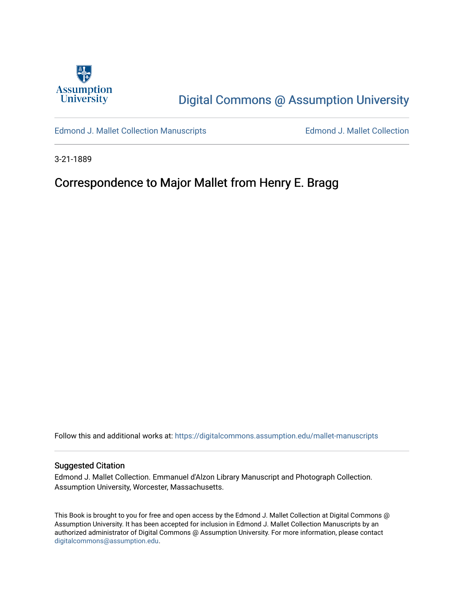

# [Digital Commons @ Assumption University](https://digitalcommons.assumption.edu/)

[Edmond J. Mallet Collection Manuscripts](https://digitalcommons.assumption.edu/mallet-manuscripts) **Edmond J. Mallet Collection** 

3-21-1889

## Correspondence to Major Mallet from Henry E. Bragg

Follow this and additional works at: [https://digitalcommons.assumption.edu/mallet-manuscripts](https://digitalcommons.assumption.edu/mallet-manuscripts?utm_source=digitalcommons.assumption.edu%2Fmallet-manuscripts%2F83&utm_medium=PDF&utm_campaign=PDFCoverPages) 

#### Suggested Citation

Edmond J. Mallet Collection. Emmanuel d'Alzon Library Manuscript and Photograph Collection. Assumption University, Worcester, Massachusetts.

This Book is brought to you for free and open access by the Edmond J. Mallet Collection at Digital Commons @ Assumption University. It has been accepted for inclusion in Edmond J. Mallet Collection Manuscripts by an authorized administrator of Digital Commons @ Assumption University. For more information, please contact [digitalcommons@assumption.edu](mailto:digitalcommons@assumption.edu).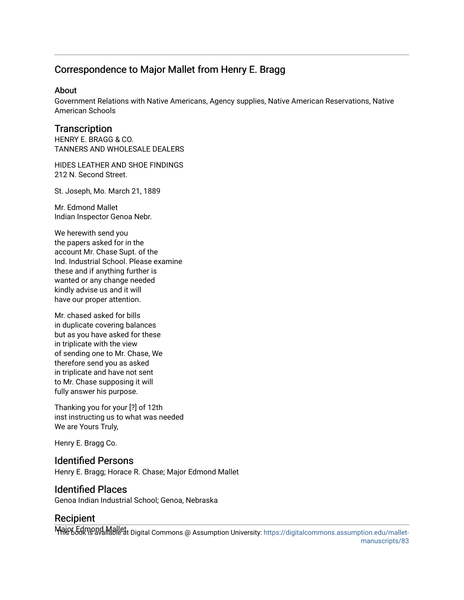### Correspondence to Major Mallet from Henry E. Bragg

#### About

Government Relations with Native Americans, Agency supplies, Native American Reservations, Native American Schools

#### **Transcription**

HENRY E. BRAGG & CO. TANNERS AND WHOLESALE DEALERS

HIDES LEATHER AND SHOE FINDINGS 212 N. Second Street.

St. Joseph, Mo. March 21, 1889

Mr. Edmond Mallet Indian Inspector Genoa Nebr.

We herewith send you the papers asked for in the account Mr. Chase Supt. of the Ind. Industrial School. Please examine these and if anything further is wanted or any change needed kindly advise us and it will have our proper attention.

Mr. chased asked for bills in duplicate covering balances but as you have asked for these in triplicate with the view of sending one to Mr. Chase, We therefore send you as asked in triplicate and have not sent to Mr. Chase supposing it will fully answer his purpose.

Thanking you for your [?] of 12th inst instructing us to what was needed We are Yours Truly,

Henry E. Bragg Co.

#### Identified Persons

Henry E. Bragg; Horace R. Chase; Major Edmond Mallet

#### Identified Places

Genoa Indian Industrial School; Genoa, Nebraska

#### **Recipient**

Major Edmond Mallet Digital Commons @ Assumption University: [https://digitalcommons.assumption.edu/mallet](https://digitalcommons.assumption.edu/mallet-manuscripts/83)[manuscripts/83](https://digitalcommons.assumption.edu/mallet-manuscripts/83)